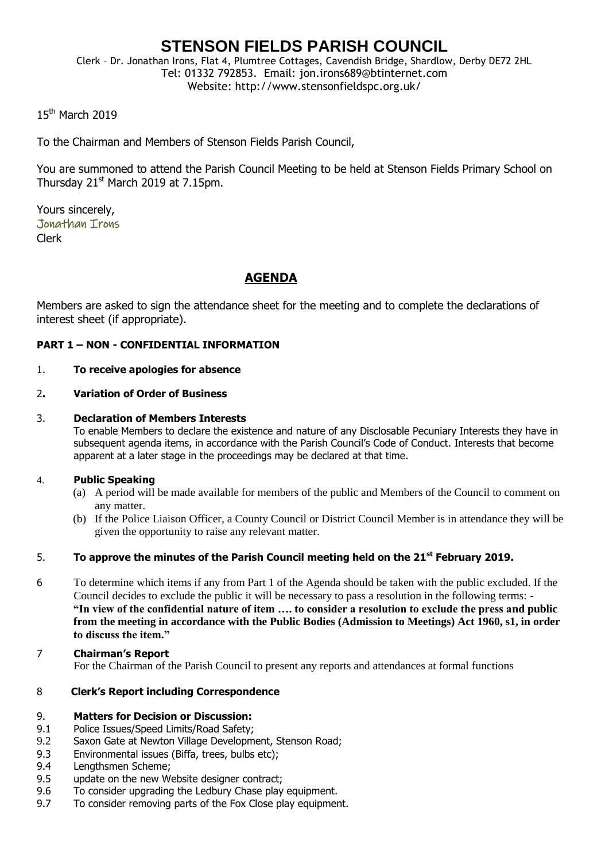# **STENSON FIELDS PARISH COUNCIL**

Clerk – Dr. Jonathan Irons, Flat 4, Plumtree Cottages, Cavendish Bridge, Shardlow, Derby DE72 2HL Tel: 01332 792853. Email: jon.irons689@btinternet.com Website: http://www.stensonfieldspc.org.uk/

15th March 2019

To the Chairman and Members of Stenson Fields Parish Council,

You are summoned to attend the Parish Council Meeting to be held at Stenson Fields Primary School on Thursday  $21<sup>st</sup>$  March 2019 at 7.15pm.

Yours sincerely, Jonathan Irons Clerk

# **AGENDA**

Members are asked to sign the attendance sheet for the meeting and to complete the declarations of interest sheet (if appropriate).

#### **PART 1 – NON - CONFIDENTIAL INFORMATION**

#### 1. **To receive apologies for absence**

#### 2**. Variation of Order of Business**

#### 3. **Declaration of Members Interests**

To enable Members to declare the existence and nature of any Disclosable Pecuniary Interests they have in subsequent agenda items, in accordance with the Parish Council's Code of Conduct. Interests that become apparent at a later stage in the proceedings may be declared at that time.

#### 4. **Public Speaking**

- (a) A period will be made available for members of the public and Members of the Council to comment on any matter.
- (b) If the Police Liaison Officer, a County Council or District Council Member is in attendance they will be given the opportunity to raise any relevant matter.

#### 5. **To approve the minutes of the Parish Council meeting held on the 21 st February 2019.**

- 6 To determine which items if any from Part 1 of the Agenda should be taken with the public excluded. If the Council decides to exclude the public it will be necessary to pass a resolution in the following terms: - **"In view of the confidential nature of item …. to consider a resolution to exclude the press and public from the meeting in accordance with the Public Bodies (Admission to Meetings) Act 1960, s1, in order to discuss the item."**
- 7 **Chairman's Report** For the Chairman of the Parish Council to present any reports and attendances at formal functions

#### 8 **Clerk's Report including Correspondence**

#### 9. **Matters for Decision or Discussion:**

- 9.1 Police Issues/Speed Limits/Road Safety;
- 9.2 Saxon Gate at Newton Village Development, Stenson Road;
- 9.3 Environmental issues (Biffa, trees, bulbs etc);
- 9.4 Lengthsmen Scheme;
- 9.5 update on the new Website designer contract;
- 9.6 To consider upgrading the Ledbury Chase play equipment.
- 9.7 To consider removing parts of the Fox Close play equipment.